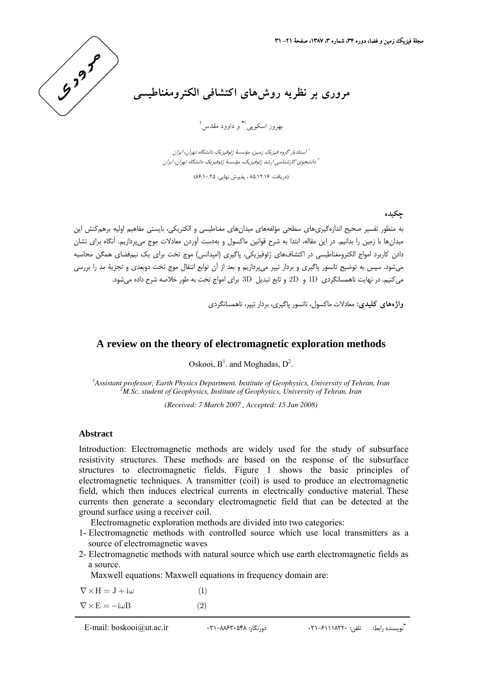

## **مروري بر نظريه روشهاي اكتشافي الكترومغناطيسي**

2 و داوود مقدس <sup>1</sup>**\*** بهروز اسكويي

استاديار گروه فيزيك زمين، مؤسسة ژئوفيزيك دانشگاه تهران، ايران <sup>1</sup> دانشجوي كارشناسي ارشد ژئوفيزيك، مؤسسة ژئوفيزيك دانشگاه تهران، ايران <sup>2</sup>

(دريافت: 85/12/16 ، پذيرش نهايي: 86/10/25)

**چكيده**

به منظور تفسير صحيح اندازهگيريهاي سطحي مؤلفههاي ميدانهاي مغناطيسي و الكتريكي، بايستي مفاهيم اوليه برهمكنش اين ميدانها با زمين را بدانيم. در اين مقاله، ابتدا به شرح قوانين ماكسول و بهدست آوردن معادلات موج ميپردازيم. آنگاه براي نشان دادن كاربرد امواج الكترومغناطيسي در اكتشافهاي ژئوفيزيكي، پاگيري (امپدانس) موج تخت براي يك نيمفضاي همگن محاسبه ميشود. سپس به توضيح تانسور پاگيري و بردار تيپر ميپردازيم و بعد از آن توابع انتقال موج تخت دوبعدي و تجزية مد را بررسي ميكنيم. در نهايت ناهمسانگردي D1 و D2 و تابع تبديل D3 براي امواج تخت به طور خلاصه شرح داده ميشود.

**واژههاي كليدي:** معادلات ماكسول، تانسور پاگيري، بردار تيپر، ناهمسانگردي

## **A review on the theory of electromagnetic exploration methods**

Oskooi,  $B^1$ . and Moghadas,  $D^2$ .

<sup>1</sup> Assistant professor, Earth Physics Department, Institute of Geophysics, University of Tehran, Iran <sup>2</sup>M Se, student of Ceophysics, Institute of Ceophysics, University of Tehran, Iran *M.Sc. student of Geophysics, Institute of Geophysics, University of Tehran, Iran* 

*(Received: 7 March 2007 , Accepted: 15 Jan 2008)* 

## **Abstract**

Introduction: Electromagnetic methods are widely used for the study of subsurface resistivity structures. These methods are based on the response of the subsurface structures to electromagnetic fields. Figure 1 shows the basic principles of electromagnetic techniques. A transmitter (coil) is used to produce an electromagnetic field, which then induces electrical currents in electrically conductive material. These currents then generate a secondary electromagnetic field that can be detected at the ground surface using a receiver coil.

Electromagnetic exploration methods are divided into two categories:

- 1- Electromagnetic methods with controlled source which use local transmitters as a source of electromagnetic waves
- 2- Electromagnetic methods with natural source which use earth electromagnetic fields as a source.

Maxwell equations: Maxwell equations in frequency domain are:

| $\nabla \times H = J + i\omega$                            | (1) |
|------------------------------------------------------------|-----|
| $\nabla \times \mathbf{E} = -\mathrm{i} \omega \mathbf{B}$ | (2) |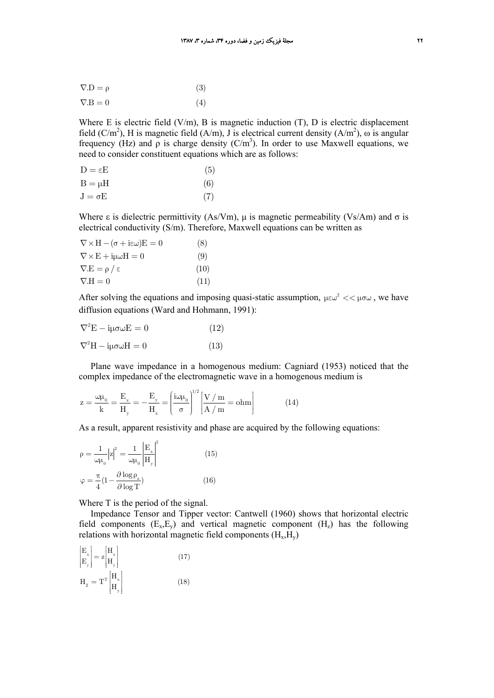$$
\nabla \cdot \mathbf{D} = \rho \tag{3}
$$

$$
\nabla \cdot \mathbf{B} = 0 \tag{4}
$$

Where E is electric field  $(V/m)$ , B is magnetic induction  $(T)$ , D is electric displacement field (C/m<sup>2</sup>), H is magnetic field (A/m), J is electrical current density (A/m<sup>2</sup>),  $\omega$  is angular frequency (Hz) and  $\rho$  is charge density (C/m<sup>3</sup>). In order to use Maxwell equations, we need to consider constituent equations which are as follows:

| $D = \varepsilon E$ | (5) |
|---------------------|-----|
| $B = \mu H$         | (6) |
| $J = \sigma E$      | (7) |

Where ε is dielectric permittivity (As/Vm),  $\mu$  is magnetic permeability (Vs/Am) and σ is electrical conductivity (S/m). Therefore, Maxwell equations can be written as

| $\nabla \times H - (\sigma + i \epsilon \omega)E = 0$   | (8)  |
|---------------------------------------------------------|------|
| $\nabla \times \mathbf{E} + i\mu \omega \mathbf{H} = 0$ | (9)  |
| $\nabla.E = \rho / \epsilon$                            | (10) |
| $\nabla \cdot H = 0$                                    | (11) |

After solving the equations and imposing quasi-static assumption,  $\mu \epsilon \omega^2 << \mu \sigma \omega$ , we have diffusion equations (Ward and Hohmann, 1991):

| $\nabla^2 E - i\mu\sigma\omega E = 0$  | (12) |
|----------------------------------------|------|
| $\nabla^2 H - i\mu\sigma \omega H = 0$ | (13) |

Plane wave impedance in a homogenous medium: Cagniard (1953) noticed that the complex impedance of the electromagnetic wave in a homogenous medium is

$$
z = \frac{\omega \mu_0}{k} = \frac{E_x}{H_y} = -\frac{E_y}{H_x} = \left(\frac{i\omega \mu_0}{\sigma}\right)^{1/2} \left[\frac{V/m}{A/m} = ohm\right]
$$
(14)

As a result, apparent resistivity and phase are acquired by the following equations:

$$
\rho = \frac{1}{\omega \mu_0} |z|^2 = \frac{1}{\omega \mu_0} \left| \frac{E_x}{H_y} \right|^2
$$
\n
$$
\varphi = \frac{\pi}{4} (1 - \frac{\partial \log \rho_a}{\partial \log T})
$$
\n(16)

Where T is the period of the signal.

Impedance Tensor and Tipper vector: Cantwell (1960) shows that horizontal electric field components  $(E_x, E_y)$  and vertical magnetic component  $(H_z)$  has the following relations with horizontal magnetic field components  $(H_x, H_y)$ 

$$
\begin{aligned}\n\begin{bmatrix}\n\mathbf{E}_{x} \\
\mathbf{E}_{y}\n\end{bmatrix} &= \mathbf{z} \begin{bmatrix}\n\mathbf{H}_{x} \\
\mathbf{H}_{y}\n\end{bmatrix} \\
\mathbf{H}_{z} &= \mathbf{T}^{T} \begin{bmatrix}\n\mathbf{H}_{x} \\
\mathbf{H}_{y}\n\end{bmatrix}\n\end{aligned}
$$
\n(17)\n(18)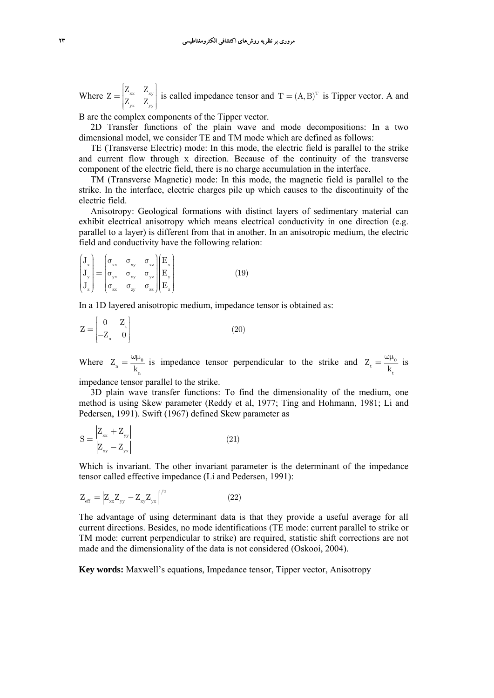Where  $Z = \begin{bmatrix} Z_{xx} & Z_{xy} \\ Z_{xy} & Z_{xy} \end{bmatrix}$  $yx$  yy  $Z = \begin{vmatrix} Z_{xx} & Z \\ Z_{xx} & Z \end{vmatrix}$  $=[\begin{matrix} Z_{xx} & Z_{xy} \\ Z_{yx} & Z_{yy} \end{matrix}]$  is called impedance tensor and  $T = (A, B)^T$  is Tipper vector. A and

B are the complex components of the Tipper vector.

2D Transfer functions of the plain wave and mode decompositions: In a two n dimensional model, we consider TE and TM mode which are defined as follows:

TE (Transverse Electric) mode: In this mode, the electric field is parallel to the strike and current flow through x direction. Because of the continuity of the transverse component of the electric field, there is no charge accumulation in the interface.

TM (Transverse Magnetic) mode: In this mode, the magnetic field is parallel to the strike. In the interface, electric charges pile up which causes to the discontinuity of the electric field.

Anisotropy: Geological formations with distinct layers of sedimentary material can exhibit electrical anisotropy which means electrical conductivity in one direction (e.g. parallel to a layer) is different from that in another. In an anisotropic medium, the electric field and conductivity have the following relation:

$$
\begin{pmatrix}\n\mathbf{J}_{x} \\
\mathbf{J}_{y} \\
\mathbf{J}_{z}\n\end{pmatrix} = \begin{pmatrix}\n\sigma_{xx} & \sigma_{xy} & \sigma_{xz} \\
\sigma_{yx} & \sigma_{yy} & \sigma_{yz} \\
\sigma_{zx} & \sigma_{zy} & \sigma_{zz}\n\end{pmatrix} \begin{pmatrix}\n\mathbf{E}_{x} \\
\mathbf{E}_{y} \\
\mathbf{E}_{z}\n\end{pmatrix}
$$
\n(19)

In a 1D layered anisotropic medium, impedance tensor is obtained as:

$$
Z = \begin{bmatrix} 0 & Z_{\mathrm{t}} \\ -Z_{\mathrm{n}} & 0 \end{bmatrix} \tag{20}
$$

Where  $Z_{n} = \frac{\omega_{P_0}}{1}$ n Z =  $\frac{\omega \mu_0}{k_0}$  is impedance tensor perpendicular to the strike and  $Z_t = \frac{\omega \mu_0}{k_+}$ t Z  $=\frac{\omega\mu_0}{k_*}$  is

impedance tensor parallel to the strike.

3D plain wave transfer functions: To find the dimensionality of the medium, one method is using Skew parameter (Reddy et al, 1977; Ting and Hohmann, 1981; Li and Pedersen, 1991). Swift (1967) defined Skew parameter as

$$
S = \frac{|Z_{xx} + Z_{yy}|}{|Z_{xy} - Z_{yx}|}
$$
\n(21)

Which is invariant. The other invariant parameter is the determinant of the impedance tensor called effective impedance (Li and Pedersen, 1991):

$$
Z_{\rm eff} = |Z_{xx} Z_{yy} - Z_{xy} Z_{yx}|^{1/2}
$$
 (22)

The advantage of using determinant data is that they provide a useful average for all current directions. Besides, no mode identifications (TE mode: current parallel to strike or TM mode: current perpendicular to strike) are required, statistic shift corrections are not made and the dimensionality of the data is not considered (Oskooi, 2004).

**Key words:** Maxwell's equations, Impedance tensor, Tipper vector, Anisotropy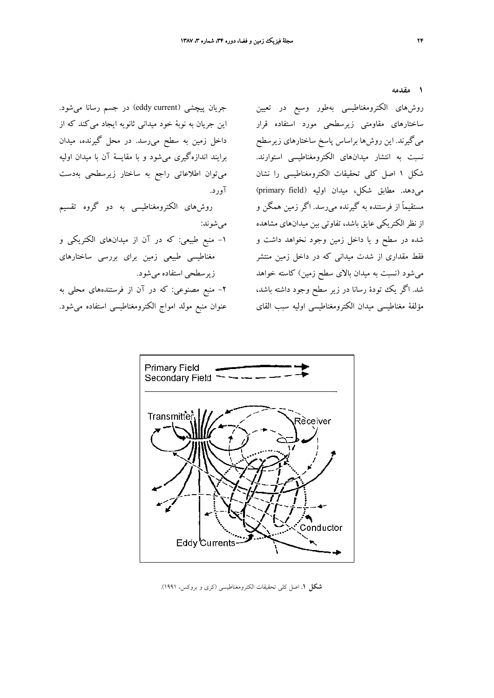آورد.

ميشوند:

زيرسطحي استفاده ميشود.

جريان پيچشي (eddy current) در جسم رسانا ميشود. اين جريان به نوبة خود ميداني ثانويه ايجاد ميكند كه از داخل زمين به سطح ميرسد. در محل گيرنده، ميدان

برايند اندازهگيري ميشود و با مقايسة آن با ميدان اوليه

ميتوان اطلاعاتي راجع به ساختار زيرسطحي بهدست

روشهاي الكترومغناطيسي به دو گروه تقسيم

-1 منبع طبيعي: كه در آن از ميدانهاي الكتريكي و

مغناطيسي طبيعي زمين براي بررسي ساختارهاي

-2 منبع مصنوعي: كه در آن از فرستندههاي محلي به

عنوان منبع مولد امواج الكترومغناطيسي استفاده ميشود.

**1 مقدمه**

روشهاي الكترومغناطيسي بهطور وسيع در تعيين ساختارهاي مقاومتي زيرسطحي مورد استفاده قرار ميگيرند. اين روشها براساس پاسخ ساختارهاي زيرسطح نسبت به انتشار ميدانهاي الكترومغناطيسي استوارند. شكل 1 اصل كلي تحقيقات الكترومغناطيسي را نشان ميدهد. مطابق شكل، ميدان اوليه (field primary( مستقيماً از فرستنده به گيرنده ميرسد. اگر زمين همگن و از نظر الكتريكي عايق باشد، تفاوتي بين ميدانهاي مشاهده شده در سطح و يا داخل زمين وجود نخواهد داشت و فقط مقداري از شدت ميداني كه در داخل زمين منتشر ميشود (نسبت به ميدان بالاي سطح زمين) كاسته خواهد شد. اگر يك تودة رسانا در زير سطح وجود داشته باشد، مؤلفة مغناطيسي ميدان الكترومغناطيسي اوليه سبب القاي



**شكل .1** اصل كلي تحقيقات الكترومغناطيسي (كري و بروكس، 1991).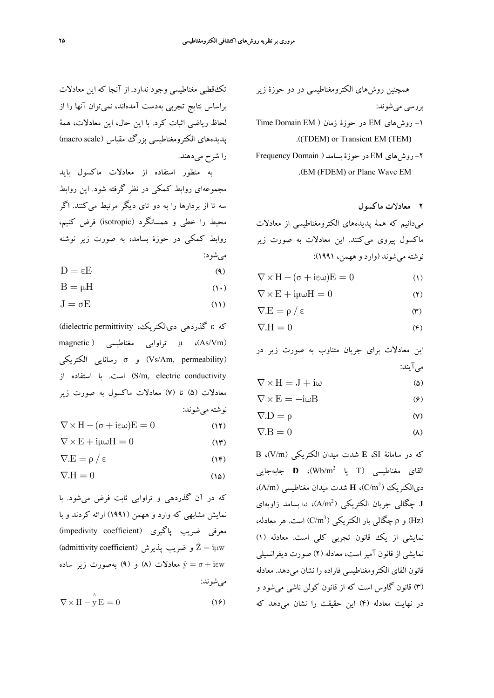تكقطبي مغناطيسي وجود ندارد. از آنجا كه اين معادلات براساس نتايج تجربي بهدست آمدهاند، نميتوان آنها را از لحاظ رياضي اثبات كرد. با اين حال، اين معادلات، همة پديدههاي الكترومغناطيسي بزرگ مقياس (scale macro ( را شرح ميدهند.

به منظور استفاده از معادلات ماكسول بايد مجموعهاي روابط كمكي در نظر گرفته شود. اين روابط سه تا از بردارها را به دو تاي ديگر مرتبط ميكنند. اگر محيط را خطي و همسانگرد (isotropic (فرض كنيم، روابط كمكي در حوزة بسامد، به صورت زير نوشته ميشود:

- $D = \epsilon E$  (4)
- $B = \mu H$  (10)
- $J = \sigma E$  (11)

كه & گذردهي دي الكتريك، dielectric permittivity) magnetic ) مغناطيسي تراوايي μ ،(As/Vm) الكتريكي رسانايي σ و) Vs/Am, permeability) conductivity electric ,m/S (است. با استفاده از معادلات (5) تا (7) معادلات ماكسول به صورت زير نوشته ميشوند:

- $\nabla \times \mathbf{H} (\sigma + i \epsilon \omega) \mathbf{E} = 0$  (11)
- $\nabla \times \mathbf{E} + \mathbf{i}\mu\omega \mathbf{H} = 0$  (*I*\*)
- $\nabla E = \rho / \epsilon$  (14)
- $\nabla H = 0$  (14)

كه در آن گذردهي و تراوايي ثابت فرض ميشود. با نمايش مشابهي كه وارد و ههمن (1991) ارائه كردند و با معرفي ضريب پاگيري (impedivity coefficient) (admittivity coefficient) و ضريب پذيرش (admittivity coefficient) و (۹) بهصورت زير ساده (c) به صورت زير ساده  $\hat{y} = \sigma + i \epsilon w$ ميشوند:

 $\nabla \times \mathbf{H} - \mathbf{y} \mathbf{E} = 0$  (19)

همچنين روشهاي الكترومغناطيسي در دو حوزة زير بررسي ميشوند:

- -1 روشهاي EM در حوزة زمان ( EM Domain Time .((TDEM) or Transient EM (TEM)
- -2 روشهاي EM در حوزة بسامد ( Domain Frequency .(EM (FDEM) or Plane Wave EM
	- **2 معادلات ماكسول**

ميدانيم كه همة پديدههاي الكترومغناطيسي از معادلات ماكسول پيروي ميكنند. اين معادلات به صورت زير نوشته ميشوند (وارد و ههمن، 1991):

 $\nabla \times \mathbf{H} - (\sigma + i \epsilon \omega) \mathbf{E} = 0$  (1)

$$
\nabla \times \mathbf{E} + \mathbf{i}\mu \omega \mathbf{H} = 0 \tag{1}
$$

$$
\nabla.E = \rho / \epsilon \tag{7}
$$

$$
\nabla \mathbf{H} = 0 \tag{6}
$$

اين معادلات براي جريان متناوب به صورت زير در ميآيند:

$$
\nabla \times \mathbf{H} = \mathbf{J} + \mathbf{i}\omega \tag{2}
$$

$$
\nabla \times \mathbf{E} = -\mathbf{i}\omega \mathbf{B} \tag{9}
$$

$$
\nabla.D = \rho \tag{V}
$$

$$
\nabla \mathbf{B} = 0 \tag{A}
$$

كه در سامانة SI، **E** شدت ميدان الكتريكي (m/V(، B )، **<sup>D</sup>** جابهجايي <sup>2</sup> القاي مغناطيسي (<sup>T</sup> يا m/Wb C/m ) ديالكتريك <sup>2</sup> ،)A/m) مغناطيسي ميدان شدت **<sup>H</sup>** ،( )، <sup>ω</sup> بسامد زاويهاي <sup>2</sup> **<sup>J</sup>** چگالي جريان الكتريكي ( m/A  $\mathcal{L}(\text{Hz})$ ) و ρ چگالي بار الكتريكي ( C/m<sup>3</sup>) است. هر معادله، نمايشي از يك قانون تجربي كلي است. معادله (1) نمايشي از قانون آمپر است، معادله (2) صورت ديفرانسيلي قانون القاي الكترومغناطيسي فاراده را نشان ميدهد. معادله (3) قانون گاوس است كه از قانون كولن ناشي ميشود و در نهايت معادله (4) اين حقيقت را نشان ميدهد كه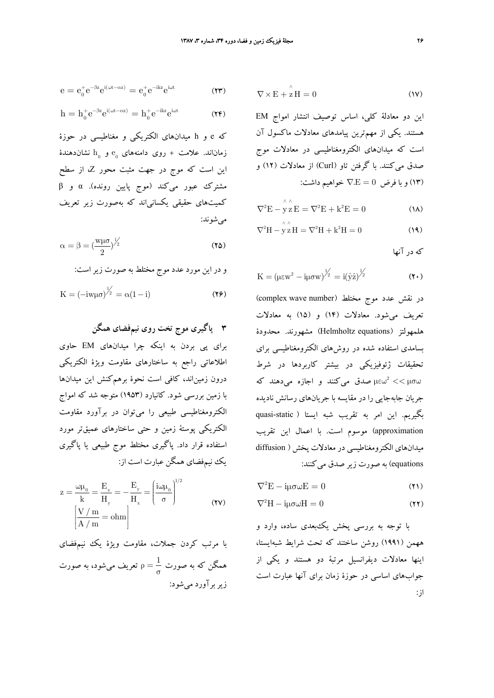$$
e=e_0^+e^{-\beta z}e^{i(\omega t-\alpha z)}=e_0^+e^{-ikz}e^{i\omega t}\qquad \qquad (\text{Y}\textbf{Y})
$$

$$
h=h_0^+e^{-\beta z}e^{i(\omega t-\alpha z)}=h_0^+e^{-ikz}e^{i\omega t}\qquad \qquad \textbf{(YF)}
$$

كه e و h ميدانهاي الكتريكي و مغناطيسي در حوزة زماناند. علامت + روى دامنههاي  $e_{0}$  و  $h_{0}$  نشاندهندهٔ اين است كه موج در جهت مثبت محور Z، از سطح مشترك عبور ميكند (موج پايين رونده). α و β كميتهاي حقيقي يكسانياند كه بهصورت زير تعريف ميشوند:

$$
\alpha = \beta = \left(\frac{w\mu\sigma}{2}\right)^{\frac{1}{2}}
$$
 (12)

و در اين مورد عدد موج مختلط به صورت زيراست:

$$
K = (-iw\mu\sigma)^{\frac{1}{2}} = \alpha(1-i)
$$
 (19)

**3 پاگيري موج تخت روي نيمفضاي همگن** براي پي بردن به اينكه چرا ميدانهاي EM حاوي اطلاعاتي راجع به ساختارهاي مقاومت ويژة الكتريكي درون زمين|ند، كافي است نحوهٔ برهمكنش اين ميدانها با زمين بررسي شود. كانيارد (1953) متوجه شد كه امواج الكترومغناطيسي طبيعي را ميتوان در برآورد مقاومت الكتريكي پوستة زمين و حتي ساختارهاي عميقتر مورد استفاده قرار داد. پاگيري مختلط موج طبيعي يا پاگيري يك نيمفضاي همگن عبارت است از:

$$
z = \frac{\omega \mu_0}{k} = \frac{E_x}{H_y} = -\frac{E_y}{H_x} = \left(\frac{i\omega \mu_0}{\sigma}\right)^{1/2}
$$

$$
\left[\frac{V/m}{A/m} = \text{ohm}\right]
$$
(YV)

با مرتب كردن جملات، مقاومت ويژة يك نيمفضاي همگن كه به صورت  $\frac{1}{\sigma}=\rho=\frac{1}{\sigma}$  تعريف ميشود، به صورت زيربرآورد ميشود:

$$
\nabla \times \mathbf{E} + \overset{\wedge}{\mathbf{z}} \mathbf{H} = 0 \tag{1V}
$$

اين دو معادلة كلي، اساس توصيف انتشار امواج EM هستند. يكي از مهمترين پيامدهاي معادلات ماكسول آن است كه ميدانهاي الكترومغناطيسي در معادلات موج صدق ميكنند. با گرفتن تاو (Curl (از معادلات (12) و (13) و با فرض 0 E. ∇ = خواهيم داشت:

$$
\nabla^2 \mathbf{E} - \mathbf{y} \mathbf{z} \mathbf{E} = \nabla^2 \mathbf{E} + \mathbf{k}^2 \mathbf{E} = 0 \tag{1A}
$$

$$
\nabla^2 \mathbf{H} - \mathbf{y} \mathbf{z} \mathbf{H} = \nabla^2 \mathbf{H} + \mathbf{k}^2 \mathbf{H} = 0 \tag{14}
$$

كه در آنها

$$
K = \left(\mu \varepsilon w^2 - i\mu \sigma w\right)^{\frac{1}{2}} = i(\hat{y}\hat{z})^{\frac{1}{2}} \tag{1.}
$$

در نقش عدد موج مختلط (complex wave number) تعريف ميشود. معادلات (14) و (15) به معادلات هلمهولتز (equations Helmholtz (مشهورند. محدودة بسامدي استفاده شده در روشهاي الكترومغناطيسي براي تحقيقات ژئوفيزيكي در بيشتر كاربردها در شرط سه بن سابق ميكنند و اجازه مي دهند كه  $\mu\varepsilon\omega^2<<\mu\sigma\omega$ جريان جابهجايي را در مقايسه با جريانهاي رسانش ناديده بگيريم. اين امر به تقريب شبه ايستا ( static-quasi approximation (موسوم است. با اعمال اين تقريب ميدانهاي الكترومغناطيسي در معادلات پخش ( diffusion equations (به صورت زير صدق ميكنند:

$$
\nabla^2 \mathbf{E} - \mathbf{i}\mu \sigma \omega \mathbf{E} = 0 \tag{1}
$$

$$
\nabla^2 H - i\mu \sigma \omega H = 0 \tag{17}
$$

با توجه به بررسي پخش يكبعدي ساده، وارد و ههمن (1991) روشن ساختند كه تحت شرايط شبهايستا، اينها معادلات ديفرانسيل مرتبة دو هستند و يكي از جوابهاي اساسي در حوزة زمان براي آنها عبارت است از: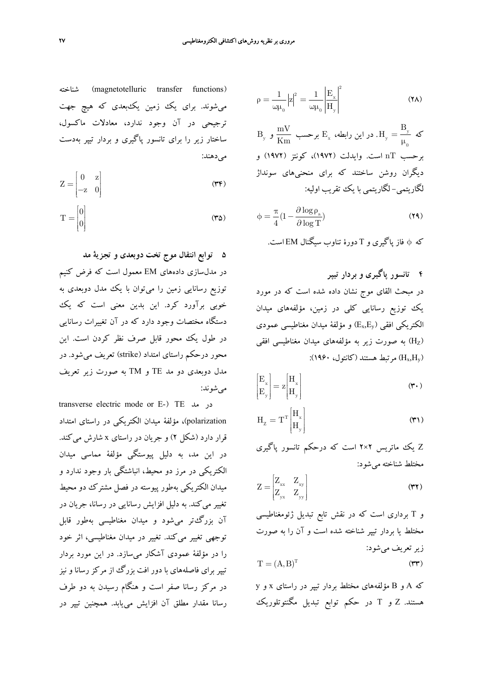شناخته) magnetotelluric transfer functions) ميشوند. براي يك زمين يكبعدي كه هيچ جهت ترجيحي در آن وجود ندارد، معادلات ماكسول، ساختار زير را براي تانسور پاگيري و بردار تيپر بهدست ميدهند:

$$
Z = \begin{bmatrix} 0 & z \\ -z & 0 \end{bmatrix}
$$
 (TF)

$$
T = \begin{bmatrix} 0 \\ 0 \end{bmatrix} \tag{4.3}
$$

**5 توابع انتقال موج تخت دوبعدي و تجزية مد** در مدلسازي دادههاي EM معمول است كه فرض كنيم توزيع رسانايي زمين را ميتوان با يك مدل دوبعدي به خوبي برآورد كرد. اين بدين معني است كه يك دستگاه مختصات وجود دارد كه در آن تغييرات رسانايي در طول يك محور قابل صرف نظر كردن است. اين محور درحكم راستاي امتداد (strike (تعريف ميشود. در مدل دوبعدي دو مد TE و TM به صورت زير تعريف ميشوند:

transverse electric mode or E-) TE مد در polarization(، مؤلفة ميدان الكتريكي در راستاي امتداد قرار دارد (شكل 2) و جريان در راستاي x شارش ميكند. در اين مد، به دليل پيوستگي مؤلفة مماسي ميدان الكتريكي در مرز دو محيط، انباشتگي بار وجود ندارد و ميدان الكتريكي بهطور پيوسته در فصل مشترك دو محيط تغيير ميكند. به دليل افزايش رسانايي در رسانا، جريان در آن بزرگتر ميشود و ميدان مغناطيسي بهطور قابل توجهي تغيير ميكند. تغيير در ميدان مغناطيسي، اثر خود را در مؤلفة عمودي آشكار ميسازد. در اين مورد بردار تيپر براي فاصلههاي با دور افت بزرگ از مركز رسانا و نيز در مركز رسانا صفر است و هنگام رسيدن به دو طرف رسانا مقدار مطلق آن افزايش مييابد. همچنين تيپر در

$$
\rho = \frac{1}{\omega \mu_0} |z|^2 = \frac{1}{\omega \mu_0} \left| \frac{E_x}{H_y} \right|^2 \tag{7A}
$$

y كه y 0 B <sup>H</sup> <sup>=</sup> <sup>μ</sup> mV E برحسب <sup>x</sup> . در اين رابطه، Km <sup>و</sup> By برحسب nT است. وايدلت (1972)، كونتز (1972) و ديگران روشن ساختند كه براي منحنيهاي سونداژ لگاريتمي- لگاريتمي با يك تقريب اوليه:

$$
\phi = \frac{\pi}{4} \left( 1 - \frac{\partial \log \rho_{\mathbf{a}}}{\partial \log T} \right) \tag{74}
$$

كه φ فاز پاگيري و T دورة تناوب سيگنال EM است.

**4 تانسور پاگيري و بردار تيپر** در مبحث القاي موج نشان داده شده است كه در مورد يك توزيع رسانايي كلي در زمين، مؤلفههاي ميدان الكتريكي افقي  $\rm (E_x,E_y)$ و مؤلفة ميدان مغناطيسي عمودي به صورت زير به مؤلفههاي ميدان مغناطيسي افقي  $\rm(H_{Z})$ (H<sub>x</sub>,H<sub>y</sub>) مرتبط هستند (كانتول، ۱۹۶۰):

$$
\begin{bmatrix} \mathbf{E}_{\mathbf{x}} \\ \mathbf{E}_{\mathbf{y}} \end{bmatrix} = \mathbf{z} \begin{bmatrix} \mathbf{H}_{\mathbf{x}} \\ \mathbf{H}_{\mathbf{y}} \end{bmatrix}
$$
 (7. )

$$
H_z = T^T \begin{bmatrix} H_x \\ H_y \end{bmatrix}
$$
 (71)

Z يك ماتريس 2×2 است كه درحكم تانسور پاگيري مختلط شناخته ميشود:

$$
Z = \begin{bmatrix} Z_{xx} & Z_{xy} \\ Z_{yx} & Z_{yy} \end{bmatrix}
$$
 (YY)

و T برداري است كه در نقش تابع تبديل ژئومغناطيسي مختلط يا بردار تيپر شناخته شده است و آن را به صورت زيرتعريف ميشود:

$$
T = (A, B)^{T}
$$
 (YY)

كه A و B مؤلفههاي مختلط بردار تيپر در راستاي x و y هستند. Z و T در حكم توابع تبديل مگنتوتلوريك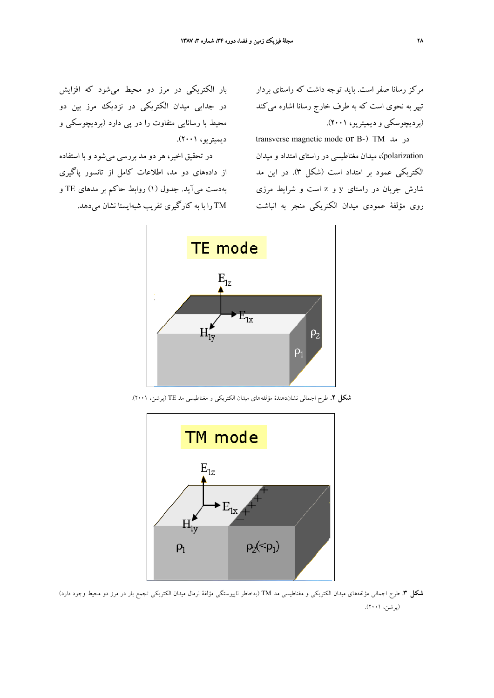مركز رسانا صفر است. بايد توجه داشت كه راستاي بردار تيپر به نحوي است كه به طرف خارج رسانا اشاره ميكند (برديچوسكي و ديميتريو، 2001).

transverse magnetic mode or B-) TM مد در polarization(، ميدان مغناطيسي در راستاي امتداد و ميدان الكتريكي عمود بر امتداد است (شكل 3). در اين مد شارش جريان در راستاي y و z است و شرايط مرزي روي مؤلفة عمودي ميدان الكتريكي منجر به انباشت

بار الكتريكي در مرز دو محيط ميشود كه افزايش در جدايي ميدان الكتريكي در نزديك مرز بين دو محيط با رسانايي متفاوت را در پي دارد (برديچوسكي و ديميتريو، 2001).

در تحقيق اخير، هر دو مد بررسي ميشود و با استفاده از دادههاي دو مد، اطلاعات كامل از تانسور پاگيري بهدست ميآيد. جدول (1) روابط حاكم بر مدهاي TE و TM را با به كارگيري تقريب شبهايستا نشان ميدهد.



**شكل .2** طرح اجمالي نشاندهندة مؤلفههاي ميدان الكتريكي و مغناطيسي مد TE) پرشن، 2001).



**شكل .3** طرح اجمالي مؤلفههاي ميدان الكتريكي و مغناطيسي مد TM) بهخاطر ناپيوستگي مؤلفة نرمال ميدان الكتريكي تجمع بار در مرز دو محيط وجود دارد) (پرشن، 2001).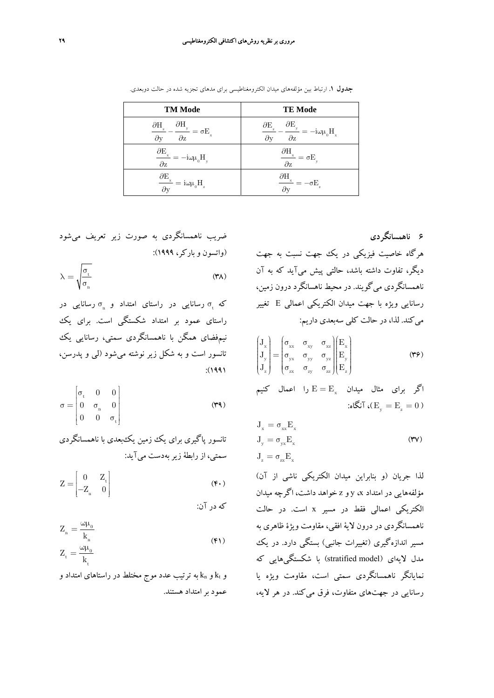| <b>TM Mode</b>                                                                                                                     | <b>TE Mode</b>                                                                                                                                                                                                      |
|------------------------------------------------------------------------------------------------------------------------------------|---------------------------------------------------------------------------------------------------------------------------------------------------------------------------------------------------------------------|
| $\frac{\partial H_y}{\partial t} = \sigma E_y$<br>$\frac{\partial \mathbf{H}_{\mathbf{z}}}{\partial \mathbf{y}}$ .<br>$\partial z$ | $\frac{\partial E_{_{y}}}{\partial E_{_{y}}}=-i\omega\mu_{_{0}}H_{_{x}}% \frac{\partial H_{_{y}}}{\partial E_{_{y}}}=i\omega\mu_{_{0}}H_{_{y}} \label{eq1}$<br>$\partial {\mathcal E}_{\mathbf{z}}$<br>$\partial y$ |
| $\frac{\partial E_{_x}}{\partial z}=-i\omega\mu_{_0}H_{_y}$                                                                        | $\frac{\partial H_{_x}}{\partial z}=\sigma E_{_y}$                                                                                                                                                                  |
| $\frac{\partial E_{_{x}}}{\partial y} = i\omega\mu_{_{0}}H_{_{z}}$                                                                 | $\frac{\partial H_{_{x}}}{\partial y}=-\sigma E_{_{z}}% \frac{\partial H_{_{y}}}{\partial y}=\frac{\partial H_{_{y}}}{\partial x_{_{y}}}-\sigma E_{_{z}}% \frac{\partial H_{_{y}}}{\partial y}=0 \label{eq1.3}%$    |

**جدول .1** ارتباط بين مؤلفههاي ميدان الكترومغناطيسي براي مدهاي تجزيه شده در حالت دوبعدي.

ضريب ناهمسانگردي به صورت زير تعريف ميشود (واتسون و باركر، 1999):

$$
\lambda = \sqrt{\frac{\sigma_{t}}{\sigma_{n}}} \tag{TA}
$$

که  $\sigma$  رسانايي در راستاي امتداد و  $\sigma_{\rm n}$  رسانايي در راستاي عمود بر امتداد شكستگي است. براي يك نيمفضاي همگن با ناهمسانگردي سمتي، رسانايي يك تانسور است و به شكل زير نوشته ميشود (لي و پدرسن، :(1991

$$
\sigma = \begin{bmatrix} \sigma_{\rm t} & 0 & 0 \\ 0 & \sigma_{\rm n} & 0 \\ 0 & 0 & \sigma_{\rm t} \end{bmatrix}
$$
 (74)

تانسور پاگيري براي يك زمين يكبعدي با ناهمسانگردي سمتي، از رابطة زيربهدست ميآيد:

$$
Z = \begin{bmatrix} 0 & Z_t \\ -Z_n & 0 \end{bmatrix}
$$
 (6.)

كه در آن:

$$
Z_{n} = \frac{\omega \mu_{0}}{k_{n}}
$$
  
\n
$$
Z_{t} = \frac{\omega \mu_{0}}{k_{t}}
$$
 (F1)

و k<sub>n</sub> و k<sub>n</sub> به ترتيب عدد موج مختلط در راستاهاي امتداد و عمود برامتداد هستند.

**6 ناهمسانگردي** هرگاه خاصيت فيزيكي در يك جهت نسبت به جهت ديگر، تفاوت داشته باشد، حالتي پيش ميآيد كه به آن ناهمسانگردي ميگويند. در محيط ناهسانگرد درون زمين، رسانايي ويژه با جهت ميدان الكتريكي اعمالي E تغيير ميكند. لذا، در حالت كلي سهبعدي داريم:

$$
\begin{pmatrix}\nJ_x \\
J_y \\
J_y\n\end{pmatrix} = \begin{pmatrix}\n\sigma_{xx} & \sigma_{xy} & \sigma_{xz} \\
\sigma_{yx} & \sigma_{yy} & \sigma_{yz} \\
\sigma_{zx} & \sigma_{zy} & \sigma_{zz}\n\end{pmatrix} \begin{pmatrix}\nE_x \\
E_y \\
E_z\n\end{pmatrix}
$$
\n(79)

اگر برای مثال میدان  $E = E_x$  را اعمال كنیم )، آنگاه:  $(E_{\text{w}} = E_{\text{p}} = 0)$ 

$$
J_x = \sigma_{xx} E_x
$$
  
\n
$$
J_y = \sigma_{yx} E_x
$$
  
\n
$$
J_z = \sigma_{xx} E_x
$$
\n(YY)

لذا جريان (و بنابراين ميدان الكتريكي ناشي از آن) مؤلفههايي در امتداد x، y و z خواهد داشت، اگرچه ميدان الكتريكي اعمالي فقط در مسير x است. در حالت ناهمسانگردي در درون لاية افقي، مقاومت ويژة ظاهري به مسير اندازهگيري (تغييرات جانبي) بستگي دارد. در يك مدل لايهاي (model stratified (با شكستگيهايي كه نمايانگر ناهمسانگردي سمتي است، مقاومت ويژه يا رسانايي در جهتهاي متفاوت، فرق ميكند. در هر لايه،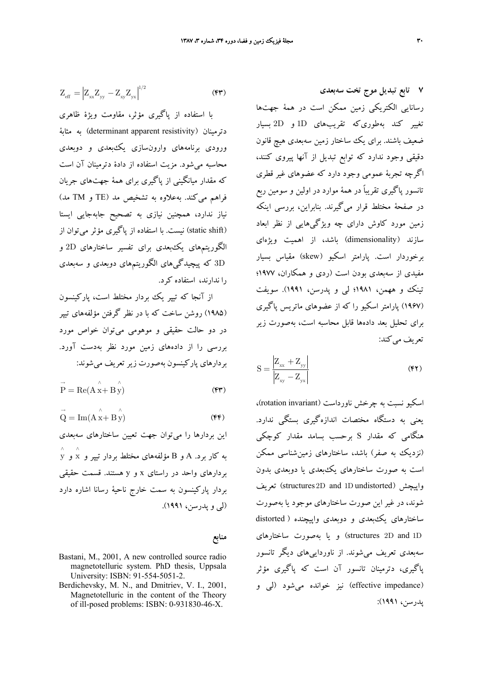$$
Z_{\rm eff} = \left| Z_{xx} Z_{yy} - Z_{xy} Z_{yx} \right|^{1/2}
$$
 (FF)

با استفاده از پاگيري مؤثر، مقاومت ويژة ظاهري دترمينان (resistivity apparent determinant (به مثابة ورودي برنامههاي وارونسازي يكبعدي و دوبعدي محاسبه ميشود. مزيت استفاده از دادة دترمينان آن است كه مقدار ميانگيني از پاگيري براي همة جهتهاي جريان فراهم ميكند. بهعلاوه به تشخيص مد (TE و TM مد) نياز ندارد، همچنين نيازي به تصحيح جابهجايي ايستا (static shift) نيست. با استفاده از پاگيري مؤثر ميتوان از الگوريتمهاي يكبعدي براي تفسير ساختارهاي D2 و D3 كه پيچيدگيهاي الگوريتمهاي دوبعدي و سهبعدي را ندارند، استفاده كرد.

از آنجا كه تيپر يك بردار مختلط است، پاركينسون (1985) روشن ساخت كه با در نظر گرفتن مؤلفههاي تيپر در دو حالت حقيقي و موهومي ميتوان خواص مورد بررسي را از دادههاي زمين مورد نظر بهدست آورد. بردارهاي پاركينسون بهصورت زيرتعريف ميشوند:

 $\vec{P} = \text{Re}(A \times B \times B \times C)$  (F)

$$
\vec{Q} = Im(A \overset{\wedge}{x} + B \overset{\wedge}{y})
$$
 (FF)

اين بردارها را ميتوان جهت تعيين ساختارهاي سهبعدي  $\stackrel{\wedge}{\chi}$  به كار برد. A و B مؤلفههاى مختلط بردار تيپر و  $\stackrel{\wedge}{\chi}$  و بردارهاي واحد در راستاي x و y هستند. قسمت حقيقي بردار پاركينسون به سمت خارج ناحية رسانا اشاره دارد (لي و پدرسن، 1991).

**منابع**

- Bastani, M., 2001, A new controlled source radio magnetotelluric system. PhD thesis, Uppsala University: ISBN: 91-554-5051-2.
- Berdichevsky, M. N., and Dmitriev, V. I., 2001, Magnetotelluric in the content of the Theory of ill-posed problems: ISBN: 0-931830-46-X.

**7 تابع تبديل موج تخت سهبعدي** رسانايي الكتريكي زمين ممكن است در همة جهتها تغيير كند بهطوريكه تقريبهاي D1 و D2 بسيار ضعيف باشند. براي يك ساختار زمين سهبعدي هيچ قانون دقيقي وجود ندارد كه توابع تبديل از آنها پيروي كنند، اگرچه تجربة عمومي وجود دارد كه عضوهاي غير قطري تانسور پاگيري تقريباً در همة موارد در اولين و سومين ربع در صفحة مختلط قرار ميگيرند. بنابراين، بررسي اينكه زمين مورد كاوش داراي چه ويژگيهايي از نظر ابعاد سازند (dimensionality (باشد، از اهميت ويژهاي برخوردار است. پارامتر اسكيو (skew (مقياس بسيار مفيدي از سهبعدي بودن است (ردي و همكاران، 1977؛ تينك و ههمن، 1981؛ لي و پدرسن، 1991). سويفت (1967) پارامتر اسكيو را كه از عضوهاي ماتريس پاگيري براي تحليل بعد دادهها قابل محاسبه است، بهصورت زير تعريف مي كند:

$$
S = \frac{\left| Z_{xx} + Z_{yy} \right|}{\left| Z_{xy} - Z_{yx} \right|} \tag{F1}
$$

اسكيو نسبت به چرخش ناورداست (rotation invariant)، يعني به دستگاه مختصات اندازهگيري بستگي ندارد. هنگامي كه مقدار S برحسب بسامد مقدار كوچكي (نزديك به صفر) باشد، ساختارهاي زمينشناسي ممكن است به صورت ساختارهاي يكبعدي يا دوبعدي بدون تعريف) structures 2D and 1D undistorted) واپيچش شوند، در غير اين صورت ساختارهاي موجود يا بهصورت ساختارهاي يكبعدي و دوبعدي واپيچنده ( distorted D1 and D2 structures (و يا بهصورت ساختارهاي سهبعدي تعريف ميشوند. از ناورداييهاي ديگر تانسور پاگيري، دترمينان تانسور آن است كه پاگيري مؤثر (impedance effective (نيز خوانده ميشود (لي و پدرسن، 1991):